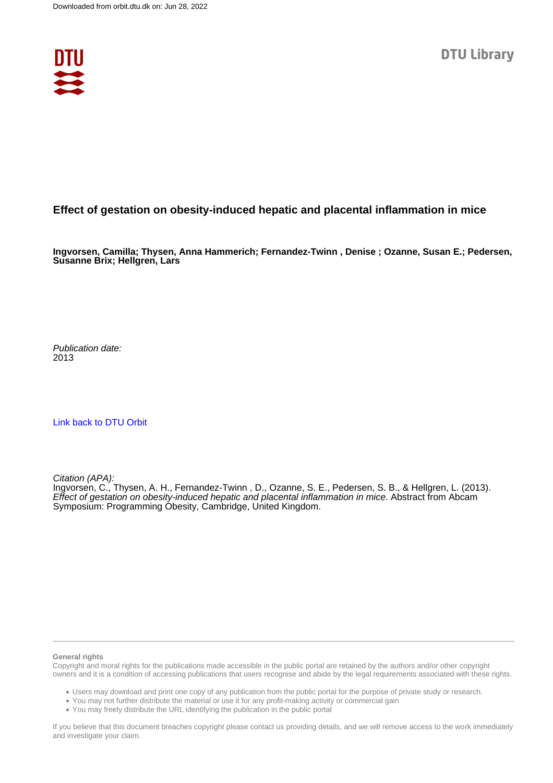

## **Effect of gestation on obesity-induced hepatic and placental inflammation in mice**

**Ingvorsen, Camilla; Thysen, Anna Hammerich; Fernandez-Twinn , Denise ; Ozanne, Susan E.; Pedersen, Susanne Brix; Hellgren, Lars**

Publication date: 2013

[Link back to DTU Orbit](https://orbit.dtu.dk/en/publications/04f398db-8836-4624-96d9-cfcfabb70bd6)

Citation (APA):

Ingvorsen, C., Thysen, A. H., Fernandez-Twinn, D., Ozanne, S. E., Pedersen, S. B., & Hellgren, L. (2013). Effect of gestation on obesity-induced hepatic and placental inflammation in mice. Abstract from Abcam Symposium: Programming Óbesity, Cambridge, United Kingdom.

## **General rights**

Copyright and moral rights for the publications made accessible in the public portal are retained by the authors and/or other copyright owners and it is a condition of accessing publications that users recognise and abide by the legal requirements associated with these rights.

Users may download and print one copy of any publication from the public portal for the purpose of private study or research.

- You may not further distribute the material or use it for any profit-making activity or commercial gain
- You may freely distribute the URL identifying the publication in the public portal

If you believe that this document breaches copyright please contact us providing details, and we will remove access to the work immediately and investigate your claim.